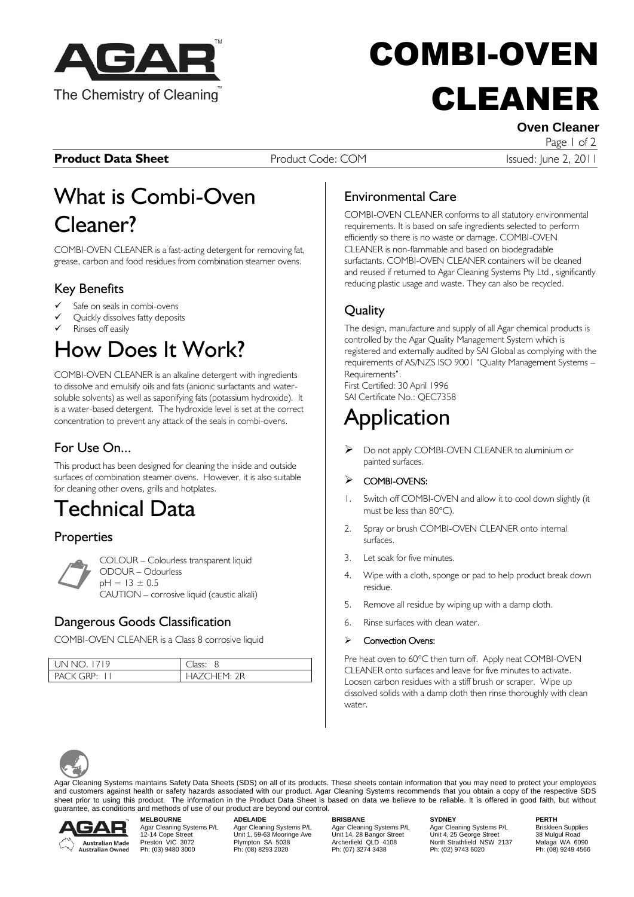

# COMBI-OVEN CLEANER

**Product Data Sheet** Product Code: COM **Product Data Sheet** Product Code: COM **Issued: June 2, 2011** 

**Oven Cleaner** Page 1 of 2

## What is Combi-Oven Cleaner?

COMBI-OVEN CLEANER is a fast-acting detergent for removing fat, grease, carbon and food residues from combination steamer ovens.

### Key Benefits

- Safe on seals in combi-ovens
- Quickly dissolves fatty deposits
- Rinses off easily

## How Does It Work?

COMBI-OVEN CLEANER is an alkaline detergent with ingredients to dissolve and emulsify oils and fats (anionic surfactants and watersoluble solvents) as well as saponifying fats (potassium hydroxide). It is a water-based detergent. The hydroxide level is set at the correct concentration to prevent any attack of the seals in combi-ovens.

## For Use On...

This product has been designed for cleaning the inside and outside surfaces of combination steamer ovens. However, it is also suitable for cleaning other ovens, grills and hotplates.

## Technical Data

## **Properties**

COLOUR – Colourless transparent liquid ODOUR – Odourless  $pH = 13 \pm 0.5$ CAUTION – corrosive liquid (caustic alkali)  $\overline{C}$ 

### Dangerous Goods Classification

COMBI-OVEN CLEANER is a Class 8 corrosive liquid

| $UNNO$ 1719 | lacc'       |
|-------------|-------------|
| PACK GRP.   | HAZCHEM, 9R |

## Environmental Care

COMBI-OVEN CLEANER conforms to all statutory environmental requirements. It is based on safe ingredients selected to perform efficiently so there is no waste or damage. COMBI-OVEN CLEANER is non-flammable and based on biodegradable surfactants. COMBI-OVEN CLEANER containers will be cleaned and reused if returned to Agar Cleaning Systems Pty Ltd., significantly reducing plastic usage and waste. They can also be recycled.

## **Ouality**

The design, manufacture and supply of all Agar chemical products is controlled by the Agar Quality Management System which is registered and externally audited by SAI Global as complying with the requirements of AS/NZS ISO 9001 "Quality Management Systems – Requirements".

First Certified: 30 April 1996 SAI Certificate No.: QEC7358

## **Application**

▶ Do not apply COMBI-OVEN CLEANER to aluminium or painted surfaces.

#### COMBI-OVENS:

- Switch off COMBI-OVEN and allow it to cool down slightly (it must be less than  $80^{\circ}$ C).
- 2. Spray or brush COMBI-OVEN CLEANER onto internal surfaces.
- 3. Let soak for five minutes.
- 4. Wipe with a cloth, sponge or pad to help product break down residue.
- 5. Remove all residue by wiping up with a damp cloth.
- 6. Rinse surfaces with clean water.

#### Convection Ovens:

Pre heat oven to 60°C then turn off. Apply neat COMBI-OVEN CLEANER onto surfaces and leave for five minutes to activate. Loosen carbon residues with a stiff brush or scraper. Wipe up dissolved solids with a damp cloth then rinse thoroughly with clean water.



Agar Cleaning Systems maintains Safety Data Sheets (SDS) on all of its products. These sheets contain information that you may need to protect your employees and customers against health or safety hazards associated with our product. Agar Cleaning Systems recommends that you obtain a copy of the respective SDS sheet prior to using this product. The information in the Product Data Sheet is based on data we believe to be reliable. It is offered in good faith, but without guarantee, as conditions and methods of use of our product are beyond our control.



**MELBOURNE ADELAIDE BRISBANE SYDNEY PERTH**

Agar Cleaning Systems P/L Agar Cleaning Systems P/L Agar Cleaning Systems P/L Briskleen Supplies<br>12-14 Cope Street Unit 1, 59-63 Mooringe Ave Unit 14, 28 Bangor Street Unit 4, 25 George Street 38 Mul Physical Marc Cleaning Systems P/L<br>
Physical Marc Cleaning Systems P/L<br>
Physical Marc Cleaning Systems P/L<br>
Phis (03) 9222<br>
Ph: (03) 9280 3000<br>
Ph: (08) 8293 2020<br>
Ph: (08) 8293 2020<br>
Ph: (07) 3274 3438<br>
Ph: (07) 3274 3438